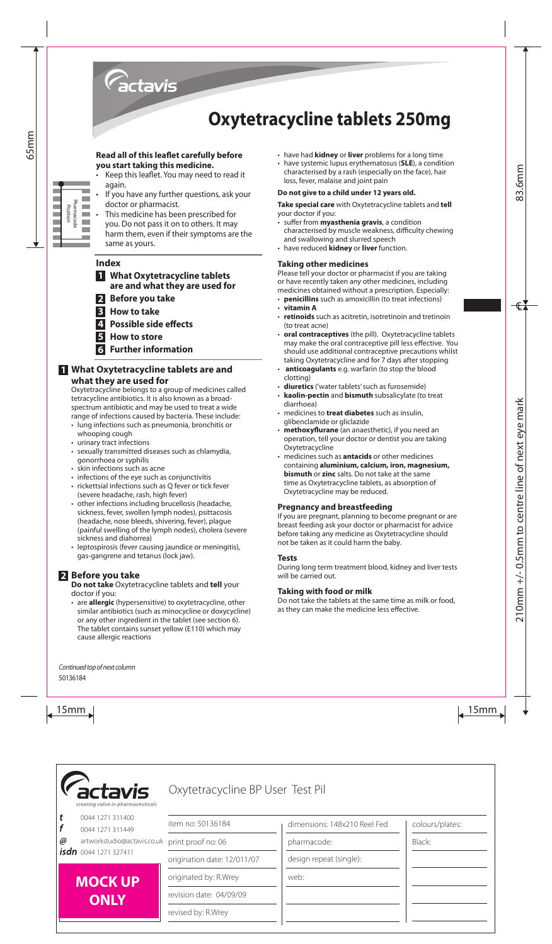

# **Oxytetracycline tablets 250mg**

## **Read all of this leaflet carefully before you start taking this medicine.**

- Keep this leaflet. You may need to read it again.
- If you have any further questions, ask your doctor or pharmacist.
- • This medicine has been prescribed for you. Do not pass it on to others. It may harm them, even if their symptoms are the same as yours.

# **Index**

- **1 What Oxytetracycline tablets are and what they are used for**
- **2 Before you take**
- **3 How to take**
- **4 Possible side effects**
- **5 How to store**
- **6 Further information**

# **1 What Oxytetracycline tablets are and what they are used for**

Oxytetracycline belongs to a group of medicines called tetracycline antibiotics. It is also known as a broadspectrum antibiotic and may be used to treat a wide range of infections caused by bacteria. These include:

- lung infections such as pneumonia, bronchitis or whooping cough
- • urinary tract infections
- sexually transmitted diseases such as chlamydia, gonorrhoea or syphilis
- • skin infections such as acne
- infections of the eye such as conjunctivitis
- rickettsial infections such as Q fever or tick fever (severe headache, rash, high fever)
- 15  $\frac{1}{2}$  Excel to photon scheme the present between of the best else to excellent the species of the time scheme that the specific state is the specific state of the specific state is the specific state of the speci • other infections including brucellosis (headache, sickness, fever, swollen lymph nodes), psittacosis (headache, nose bleeds, shivering, fever), plague (painful swelling of the lymph nodes), cholera (severe sickness and diahorrea)
	- leptospirosis (fever causing jaundice or meningitis), gas-gangrene and tetanus (lock jaw).

# **2 Before you take**

**Do not take** Oxytetracycline tablets and **tell** your doctor if you:

• are **allergic** (hypersensitive) to oxytetracycline, other similar antibiotics (such as minocycline or doxycycline) or any other ingredient in the tablet (see section 6). The tablet contains sunset yellow (E110) which may cause allergic reactions

- • have had **kidney** or **liver** problems for a long time
- • have systemic lupus erythematosus (**SLE**), a condition characterised by a rash (especially on the face), hair loss, fever, malaise and joint pain

#### **Do not give to a child under 12 years old.**

**Take special care** with Oxytetracycline tablets and **tell** your doctor if you:

- • suffer from **myasthenia gravis**, a condition characterised by muscle weakness, difficulty chewing and swallowing and slurred speech
- • have reduced **kidney** or **liver** function.

## **Taking other medicines**

Please tell your doctor or pharmacist if you are taking or have recently taken any other medicines, including medicines obtained without a prescription. Especially:

- **penicillins** such as amoxicillin (to treat infections)
- • **vitamin A**
- retinoids such as acitretin, isotretinoin and tretinoin (to treat acne)
- oral contraceptives (the pill). Oxytetracycline tablets may make the oral contraceptive pill less effective. You should use additional contraceptive precautions whilst taking Oxytetracycline and for 7 days after stopping
- anticoagulants e.g. warfarin (to stop the blood clotting)
- diuretics ('water tablets' such as furosemide)
- **kaolin-pectin** and **bismuth** subsalicylate (to treat diarrhoea)
- medicines to **treat diabetes** such as insulin, glibenclamide or gliclazide
- methoxyflurane (an anaesthetic), if you need an operation, tell your doctor or dentist you are taking **Oxytetracycline**
- medicines such as **antacids** or other medicines containing **aluminium, calcium, iron, magnesium, bismuth** or **zinc** salts. Do not take at the same time as Oxytetracycline tablets, as absorption of Oxytetracycline may be reduced.

## **Pregnancy and breastfeeding**

If you are pregnant, planning to become pregnant or are breast feeding ask your doctor or pharmacist for advice before taking any medicine as Oxytetracycline should not be taken as it could harm the baby.

#### **Tests**

During long term treatment blood, kidney and liver tests will be carried out.

## **Taking with food or milk**

Do not take the tablets at the same time as milk or food, as they can make the medicine less effective.